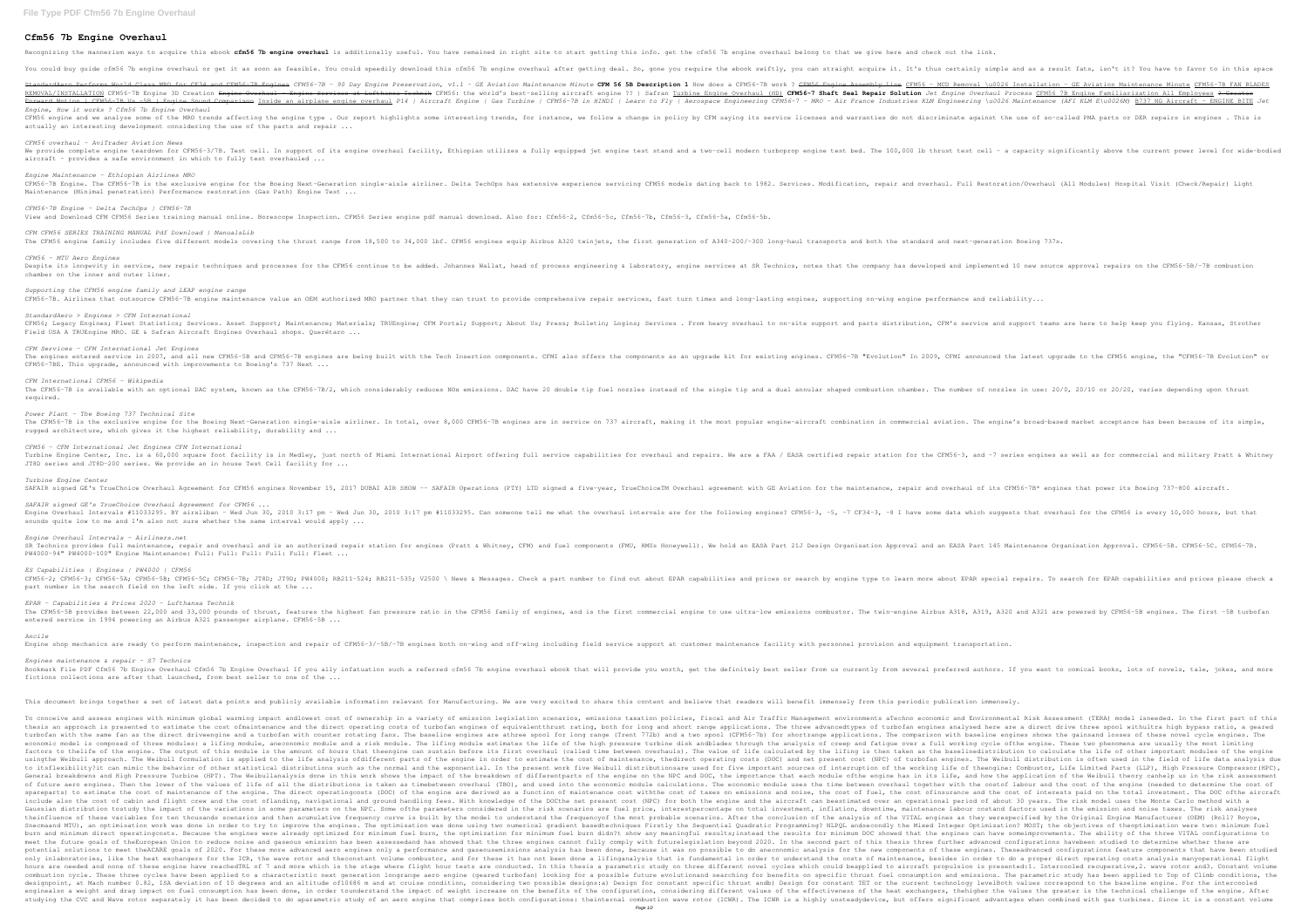## **Cfm56 7b Engine Overhaul**

StandardAero Performs World Class MRO for CF34 and CFM56 7B Engines CFM56-7B - 90 Day Engine Preservation, v1.1 - GE Aviation Maintenance Minute CFM 56 5B Description 1 How does a CFM56 - MCD Removal \u0026 Installation - REMOVAL/INSTALLATION CFM56-7B Engine 3D Creation <del>Engine Overhaul – Engine Services at Lufthansa Technik</del> CFM56: the world's best-selling aircraft engine Overhaul (HD) CFM56-7 Shaft Seal Repair Solution Jet Engine Overhaul Forward Motion | CFM56 7B Vs 5B | Engine Sound Comparison Inside an airplane engine overhaul P14 | Aircraft Engine | Gas Turbine | Gas Turbine | CFM56-7B in HINDI | Learn to Fly | Aerospace Engineering \u0026 Maintenance (

Recognizing the mannerism ways to acquire this ebook **cfm56 7b engine overhaul** is additionally useful. You have remained in right site to start getting this info. get the cfm56 7b engine overhaul belong to that we give he You could buy guide cfm56 7b engine overhaul or get it as soon as feasible. You could speedily download this cfm56 7b engine overhaul after getting deal. So, gone you require it. It's thus certainly simple and as a result *Engine, How it works ? Cfm56 7b Engine Overhaul* CFM56 engine and we analyse some of the MRO trends affecting the engine type . Our report highlights some interesting trends, for instance, we follow a change in policy by CFM saying its service licenses and warranties do actually an interesting development considering the use of the parts and repair ... *CFM56 overhaul - AviTrader Aviation News* We provide complete engine teardown for CFM56-3/7B. Test cell. In support of its engine overhaul facility, Ethiopian utilizes a fully equipped jet engine test stand and a two-cell modern turboprop engine test stand and a t aircraft - provides a safe environment in which to fully test overhauled ... *Engine Maintenance - Ethiopian Airlines MRO* CFM56–7B Engine. The CFM56–7B is the exclusive engine for the Boeing Next–Generation single–aisle airliner. Delta TechOps has extensive experience servicing CFM56 models dating back to 1982. Services. Modification, repair Maintenance (Minimal penetration) Performance restoration (Gas Path) Engine Test ... *CFM56-7B Engine - Delta TechOps | CFM56-7B* View and Download CFM CFM56 Series training manual online. Borescope Inspection. CFM56 Series engine pdf manual download. Also for: Cfm56-2, Cfm56-5c, Cfm56-7b, Cfm56-5a, Cfm56-5b. *CFM CFM56 SERIES TRAINING MANUAL Pdf Download | ManualsLib* The CFM56 engine family includes five different models covering the thrust range from 18,500 to 34,000 lbf. CFM56 engines equip Airbus A320 twinjets, the first generation of A340-200/-300 long-haul transports and both the *CFM56 - MTU Aero Engines* Despite its longevity in service, new repair techniques and processes for the CFM56 continue to be added. Johannes Wallat, head of process engineering & laboratory, engine services at SR Technics, notes that the company ha chamber on the inner and outer liner. *Supporting the CFM56 engine family and LEAP engine range* CFM56-7B. Airlines that outsource CFM56-7B engine maintenance value an OEM authorized MRO partner that they can trust to provide comprehensive repair services, fast turn times and long-lasting engines, supporting on-wing e *StandardAero > Engines > CFM International* CFM56; Legacy Engines; Fleet Statistics; Services. Asset Support; Maintenance; Materials; TRUEngine; CFM Portal; Support; About Us; Press; Bulletin; Logins; Service and parts distribution, CFM's service and support teams a Field USA A TRUEngine MRO. GE & Safran Aircraft Engines Overhaul shops. Querétaro ... *CFM Services – CFM International Jet Engines* The engines entered service in 2007, and all new CFM56–5B and CFM56–7B engines are being built with the Tech Insertion components. CFMI also offers the components as an upgrade kit for existing engines. CFMI announced the CFM56-7BE. This upgrade, announced with improvements to Boeing's 737 Next ... *CFM International CFM56 - Wikipedia* The CFM56-7B is available with an optional DAC system, known as the CFM56-7B/2, which considerably reduces NOx emissions. DAC have 20 double tip fuel nozzles instead of the single tip and a dual annular shaped combustion c required. *Power Plant - The Boeing 737 Technical Site* The CFM56-7B is the exclusive engine for the Boeing Next-Generation single-aisle airliner. In total, over 8,000 CFM56-7B engines are in service on 737 aircraft, making it the most popular engine-aircraft, making it the mos rugged architecture, which gives it the highest reliability, durability and ... *CFM56 - CFM International Jet Engines CFM International* Turbine Engine Center, Inc. is a 60,000 square foot facility is in Medley, just north of Miami International Airport offering full service capabilities for overhaul and repair station for the CFM56-3, and -7 series engines JT8D series and JT8D-200 series. We provide an in house Test Cell facility for ... *Turbine Engine Center* SAFAIR signed GE's TrueChoice Overhaul Agreement for CFM56 engines November 15, 2017 DUBAI AIR SHOW -- SAFAIR Operations (PTY) LTD signed a five-year, TrueChoiceTM Overhaul agreement with GE Aviation for the maintenance, r *SAFAIR signed GE's TrueChoice Overhaul Agreement for CFM56 ...* Engine Overhaul Intervals #11033295. BY airxliban – Wed Jun 30, 2010 3:17 pm – Wed Jun 30, 2010 3:17 pm +11033295. Can someone tell me what the overhaul intervals are for the following engines? CFM56–3, -8 I have some data sounds quite low to me and I'm also not sure whether the same interval would apply  $\ldots$ *Engine Overhaul Intervals - Airliners.net* SR Technics provides full maintenance, repair and overhaul and is an authorized repair station for engines (Pratt & Whitney, CFM) and fuel components (FMU, HMUs Honeywell). We hold an EASA Part 145 Maintenance Organisation PW4000-94" PW4000-100" Engine Maintenance: Full: Full: Full: Full: Full: Fleet ...

CFM56-3; CFM56-5A; CFM56-5B; CFM56-5B; CFM56-5C; CFM56-7B; JT8D; JT8D; JT9D; PW4000; RB211-524; RB211-524; RB211-535; V2500 \ News & Messages. Check a part number to find out about EPAR special repairs. To search for EPAR part number in the search field on the left side. If you click at the ...

Engine shop mechanics are ready to perform maintenance, inspection and repair of CFM56-3/-5B/-7B engines both on-wing and off-wing including field service support at customer maintenance facility with personnel provision a *Engines maintenance & repair – S7 Technics*

Bookmark File PDF Cfm56 7b Engine Overhaul Cfm56 7b Engine Overhaul If you ally infatuation such a referred cfm56 7b engine overhaul ebook that will provide you worth, get the definitely best seller from us currently from fictions collections are after that launched, from best seller to one of the ...

# This document brings together a set of latest data points and publicly available information relevant for Manufacturing. We are very excited to share this content and believe that readers will benefit immensely from this p

### *ES Capabilities | Engines | PW4000 | CFM56*

## *EPAR - Capabilities & Prices 2020 - Lufthansa Technik*

The CFM56–5B provides between 22,000 and 33,000 pounds of thrust, features the highest fan pressure ratio in the CFM56 family of engines, and is the first commercial engine to use ultra–low emissions combustor. The twin–en entered service in 1994 powering an Airbus A321 passenger airplane. CFM56-5B ...

To conceive and assess engines with minimum global warming impact andlowest cost of ownership in a variety of emission legislation scenarios, emissions taxation policies, fiscal and Air Traffic Management environmental and thesis an approach is presented to estimate the cost ofmaintenance and the direct operating costs of turbofan engines of equivalentthrust rating, both for long and short range applications. The three advancedtypes of turbo turbofan with the same fan as the direct driveengine and a turbofan with counter rotating fans. The baseline engines are athree spool for long range (Trent 772b) and a two spool (CFM56–7b) for shortrange applications. The economic model is composed of three modules: a lifing module, aneconomic module and a risk module and a risk module. The lifing module estimates the life of the high pressure turbine disk andblades through the analysis of factors to thelife of the engine. The output of this module is the amount of hours that theengine can sustain before its first overhauls). The value of life calculated by the lifing is then taken as the baselinedistributio usingthe Weibull approach. The Weibull formulation is applied to the life analysis ofdifferent parts of the engine in order to estimate the cost of maintenance, thedirect operating costs (DOC) and net present cost of maint to itsflexibility?it can mimic the behavior of other statistical distributions such as the normal and the exponential. In the present work five Weibull distributionsare used for five important sources of interruption of th General breakdowns and High Pressure Turbine (HPT). The Weibullanalysis done in this work shows the impact of the breakdown of differentparts of the engine on the NPC and DOC, the importance that each module of the engine of future aero engines. Then the lower of the values of life of all the distributions is taken as timebetween overhaul (TBO), and used into the costof labour and the cost of the engine (needed to determine the cost of spareparts) to estimate the cost of maintenance of the engine. The direct operatingcosts (DOC) of the engine are derived as a function of maintenance and the cost of interests paid on the total investment. The DOC ofthe ai include also the cost of cabin and flight crew and the cost oflanding, navigational and ground handling fees. With knowledge of the DOCthe net present cost (NPC) for both the engine and the aircraft can beestimated over an Gaussian distribution tostudy the impact of the variations in some parameters on the NPC. Some ofthe parameters considered in the risk scenarios are fuel price, interestpercentage on total investment, inflation, downtime, theinfluence of these variables for ten thousands scenarios and then acumulative frequency curve is built by the model to understand the frequencyof the most probable scenarios. After the conclusion of the WITAL engines as Snecmaand MTU), an optimisation work was done in order to try to improve the engines. The optimisation was done using two numerical gradient basedtechniques Firstly the Mixed Integer Optimization? MOST; the objectives of t burn and minimum direct operatingcosts. Because the engines were already optimized for minimum fuel burn, the optimization for minimum fuel burn didn?t show any meaningful results;instead the results for minimum fuel burn meet the future goals of theEuropean Union to reduce noise and gaseous emission has been assessedand has showed that the three engines cannot fully comply with futurelegislation beyond 2020. In the second part of this thes potential solutions to meet theACARE goals of 2020. For these more advanced aero engines only a performance and gaseousemissions analysis has been done, because it was no possible to do aneconomic analysis has been done, b only inlaboratories, like the heat exchangers for the ICR, the wave rotor and theconstant volume combustor, and for these it has not been done a lifinganalysis that is fundamental in order to do a proper oirect operating c hours are needed and none of these engine have reachedTRL of 7 and more which is the stage where flight hour tests are conducted. In this thesis a parametric study on three different novel cycles which could beapplied to a combustion cycle. These three cycles have been applied to a characteristic next generation longrange aero engine (geared turbofan) looking for a possible future evolutionand searching for a possible future evolutionand sea designpoint, at Mach number 0.82, ISA deviation of 10 degrees and an altitude of10686 m and at cruise condition, considering two possible designs:a) Design for constant TET or the current technology levelBoth values corres enginealso a weight and drag impact on fuel consumption has been done, in order tounderstand the impact of weight increase on the benefits of the configuration, considering different values of the heat exchangers, thehighe studying the CVC and Wave rotor separately it has been decided to do aparametric study of an aero engine that comprises both configurations: theinternal combustion wave rotor (ICWR). The ICWR is a highly unsteadydevice, bu Page 1/2

## *Ancile*